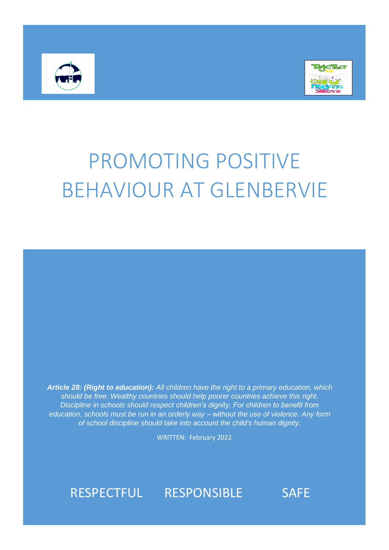



# PROMOTING POSITIVE BEHAVIOUR AT GLENBERVIE

*Article 28: (Right to education): All children have the right to a primary education, which should be free. Wealthy countries should help poorer countries achieve this right. Discipline in schools should respect children's dignity. For children to benefit from education, schools must be run in an orderly way – without the use of violence. Any form of school discipline should take into account the child's human dignity.*

WRITTEN: February 2022

## RESPECTFUL RESPONSIBLE SAFE

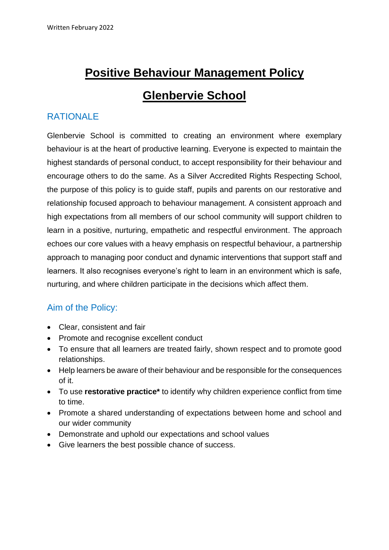# **Positive Behaviour Management Policy Glenbervie School**

#### RATIONALE

Glenbervie School is committed to creating an environment where exemplary behaviour is at the heart of productive learning. Everyone is expected to maintain the highest standards of personal conduct, to accept responsibility for their behaviour and encourage others to do the same. As a Silver Accredited Rights Respecting School, the purpose of this policy is to guide staff, pupils and parents on our restorative and relationship focused approach to behaviour management. A consistent approach and high expectations from all members of our school community will support children to learn in a positive, nurturing, empathetic and respectful environment. The approach echoes our core values with a heavy emphasis on respectful behaviour, a partnership approach to managing poor conduct and dynamic interventions that support staff and learners. It also recognises everyone's right to learn in an environment which is safe, nurturing, and where children participate in the decisions which affect them.

#### Aim of the Policy:

- Clear, consistent and fair
- Promote and recognise excellent conduct
- To ensure that all learners are treated fairly, shown respect and to promote good relationships.
- Help learners be aware of their behaviour and be responsible for the consequences of it.
- To use **restorative practice\*** to identify why children experience conflict from time to time.
- Promote a shared understanding of expectations between home and school and our wider community
- Demonstrate and uphold our expectations and school values
- Give learners the best possible chance of success.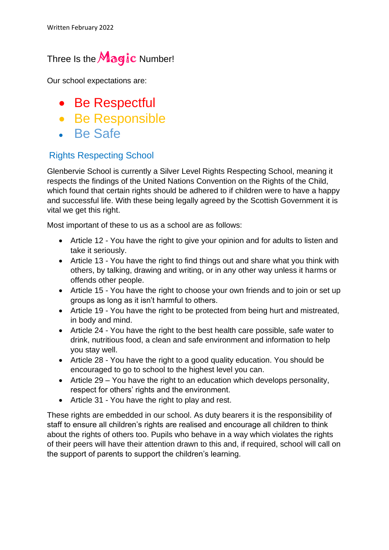### Three Is the  $M$ agic Number!

Our school expectations are:

- Be Respectful
- Be Responsible
- Be Safe

#### Rights Respecting School

Glenbervie School is currently a Silver Level Rights Respecting School, meaning it respects the findings of the United Nations Convention on the Rights of the Child, which found that certain rights should be adhered to if children were to have a happy and successful life. With these being legally agreed by the Scottish Government it is vital we get this right.

Most important of these to us as a school are as follows:

- Article 12 You have the right to give your opinion and for adults to listen and take it seriously.
- Article 13 You have the right to find things out and share what you think with others, by talking, drawing and writing, or in any other way unless it harms or offends other people.
- Article 15 You have the right to choose your own friends and to join or set up groups as long as it isn't harmful to others.
- Article 19 You have the right to be protected from being hurt and mistreated, in body and mind.
- Article 24 You have the right to the best health care possible, safe water to drink, nutritious food, a clean and safe environment and information to help you stay well.
- Article 28 You have the right to a good quality education. You should be encouraged to go to school to the highest level you can.
- Article 29 You have the right to an education which develops personality, respect for others' rights and the environment.
- Article 31 You have the right to play and rest.

These rights are embedded in our school. As duty bearers it is the responsibility of staff to ensure all children's rights are realised and encourage all children to think about the rights of others too. Pupils who behave in a way which violates the rights of their peers will have their attention drawn to this and, if required, school will call on the support of parents to support the children's learning.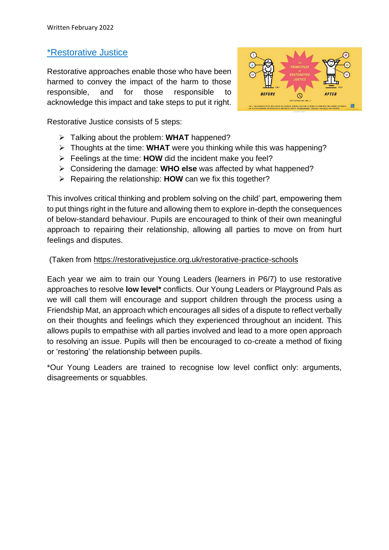#### \*Restorative Justice

Restorative approaches enable those who have been harmed to convey the impact of the harm to those responsible, and for those responsible to acknowledge this impact and take steps to put it right.



Restorative Justice consists of 5 steps:

- ➢ Talking about the problem: **WHAT** happened?
- ➢ Thoughts at the time: **WHAT** were you thinking while this was happening?
- ➢ Feelings at the time: **HOW** did the incident make you feel?
- ➢ Considering the damage: **WHO else** was affected by what happened?
- ➢ Repairing the relationship: **HOW** can we fix this together?

This involves critical thinking and problem solving on the child' part, empowering them to put things right in the future and allowing them to explore in-depth the consequences of below-standard behaviour. Pupils are encouraged to think of their own meaningful approach to repairing their relationship, allowing all parties to move on from hurt feelings and disputes.

#### (Taken from<https://restorativejustice.org.uk/restorative-practice-schools>

Each year we aim to train our Young Leaders (learners in P6/7) to use restorative approaches to resolve **low level\*** conflicts. Our Young Leaders or Playground Pals as we will call them will encourage and support children through the process using a Friendship Mat, an approach which encourages all sides of a dispute to reflect verbally on their thoughts and feelings which they experienced throughout an incident. This allows pupils to empathise with all parties involved and lead to a more open approach to resolving an issue. Pupils will then be encouraged to co-create a method of fixing or 'restoring' the relationship between pupils.

\*Our Young Leaders are trained to recognise low level conflict only: arguments, disagreements or squabbles.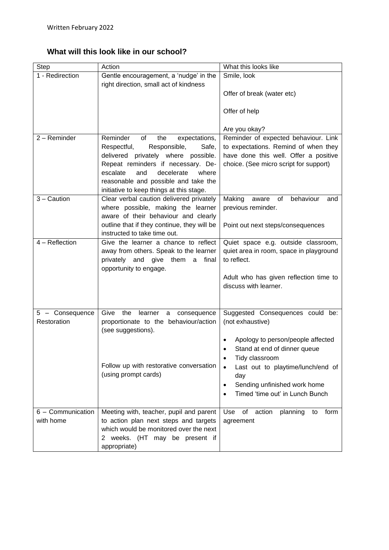**What will this look like in our school?**

| <b>Step</b>                    | Action                                                                                                                                                                                                                                                                                    | What this looks like                                                                                                                                                                                                                                                                                           |
|--------------------------------|-------------------------------------------------------------------------------------------------------------------------------------------------------------------------------------------------------------------------------------------------------------------------------------------|----------------------------------------------------------------------------------------------------------------------------------------------------------------------------------------------------------------------------------------------------------------------------------------------------------------|
| 1 - Redirection                | Gentle encouragement, a 'nudge' in the                                                                                                                                                                                                                                                    | Smile, look                                                                                                                                                                                                                                                                                                    |
|                                | right direction, small act of kindness                                                                                                                                                                                                                                                    | Offer of break (water etc)<br>Offer of help<br>Are you okay?                                                                                                                                                                                                                                                   |
| 2 - Reminder                   | Reminder<br>of<br>the<br>expectations,<br>Respectful,<br>Responsible,<br>Safe,<br>delivered privately where possible.<br>Repeat reminders if necessary. De-<br>decelerate<br>escalate<br>and<br>where<br>reasonable and possible and take the<br>initiative to keep things at this stage. | Reminder of expected behaviour. Link<br>to expectations. Remind of when they<br>have done this well. Offer a positive<br>choice. (See micro script for support)                                                                                                                                                |
| 3 - Caution                    | Clear verbal caution delivered privately<br>where possible, making the learner<br>aware of their behaviour and clearly<br>outline that if they continue, they will be<br>instructed to take time out.                                                                                     | Making<br>of<br>behaviour<br>aware<br>and<br>previous reminder.<br>Point out next steps/consequences                                                                                                                                                                                                           |
| 4 – Reflection                 | Give the learner a chance to reflect<br>away from others. Speak to the learner<br>privately and give them<br>a final<br>opportunity to engage.                                                                                                                                            | Quiet space e.g. outside classroom,<br>quiet area in room, space in playground<br>to reflect.<br>Adult who has given reflection time to<br>discuss with learner.                                                                                                                                               |
| 5 - Consequence<br>Restoration | Give<br>the<br>learner<br>consequence<br>a<br>proportionate to the behaviour/action<br>(see suggestions).<br>Follow up with restorative conversation<br>(using prompt cards)                                                                                                              | Suggested Consequences could be:<br>(not exhaustive)<br>Apology to person/people affected<br>Stand at end of dinner queue<br>Tidy classroom<br>$\bullet$<br>Last out to playtime/lunch/end of<br>$\bullet$<br>day<br>Sending unfinished work home<br>$\bullet$<br>Timed 'time out' in Lunch Bunch<br>$\bullet$ |
| 6 - Communication<br>with home | Meeting with, teacher, pupil and parent<br>to action plan next steps and targets<br>which would be monitored over the next<br>2 weeks. (HT may be present if<br>appropriate)                                                                                                              | Use<br>action<br>of<br>planning<br>form<br>to<br>agreement                                                                                                                                                                                                                                                     |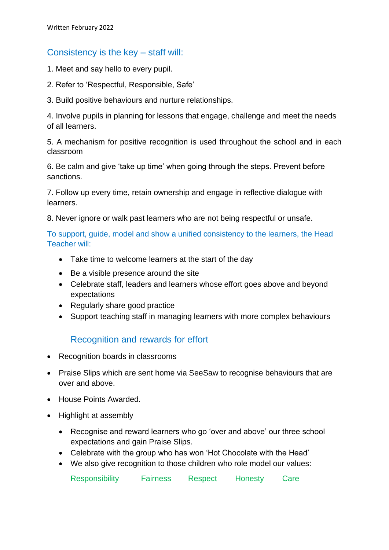#### Consistency is the key – staff will:

- 1. Meet and say hello to every pupil.
- 2. Refer to 'Respectful, Responsible, Safe'
- 3. Build positive behaviours and nurture relationships.

4. Involve pupils in planning for lessons that engage, challenge and meet the needs of all learners.

5. A mechanism for positive recognition is used throughout the school and in each classroom

6. Be calm and give 'take up time' when going through the steps. Prevent before sanctions.

7. Follow up every time, retain ownership and engage in reflective dialogue with learners.

8. Never ignore or walk past learners who are not being respectful or unsafe.

To support, guide, model and show a unified consistency to the learners, the Head Teacher will:

- Take time to welcome learners at the start of the day
- Be a visible presence around the site
- Celebrate staff, leaders and learners whose effort goes above and beyond expectations
- Regularly share good practice
- Support teaching staff in managing learners with more complex behaviours

#### Recognition and rewards for effort

- Recognition boards in classrooms
- Praise Slips which are sent home via SeeSaw to recognise behaviours that are over and above.
- House Points Awarded.
- Highlight at assembly
	- Recognise and reward learners who go 'over and above' our three school expectations and gain Praise Slips.
	- Celebrate with the group who has won 'Hot Chocolate with the Head'
	- We also give recognition to those children who role model our values:

Responsibility Fairness Respect Honesty Care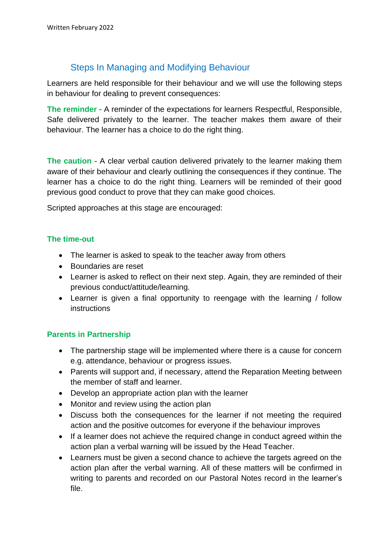#### Steps In Managing and Modifying Behaviour

Learners are held responsible for their behaviour and we will use the following steps in behaviour for dealing to prevent consequences:

**The reminder** - A reminder of the expectations for learners Respectful, Responsible, Safe delivered privately to the learner. The teacher makes them aware of their behaviour. The learner has a choice to do the right thing.

**The caution** - A clear verbal caution delivered privately to the learner making them aware of their behaviour and clearly outlining the consequences if they continue. The learner has a choice to do the right thing. Learners will be reminded of their good previous good conduct to prove that they can make good choices.

Scripted approaches at this stage are encouraged:

#### **The time-out**

- The learner is asked to speak to the teacher away from others
- Boundaries are reset
- Learner is asked to reflect on their next step. Again, they are reminded of their previous conduct/attitude/learning.
- Learner is given a final opportunity to reengage with the learning / follow instructions

#### **Parents in Partnership**

- The partnership stage will be implemented where there is a cause for concern e.g. attendance, behaviour or progress issues.
- Parents will support and, if necessary, attend the Reparation Meeting between the member of staff and learner.
- Develop an appropriate action plan with the learner
- Monitor and review using the action plan
- Discuss both the consequences for the learner if not meeting the required action and the positive outcomes for everyone if the behaviour improves
- If a learner does not achieve the required change in conduct agreed within the action plan a verbal warning will be issued by the Head Teacher.
- Learners must be given a second chance to achieve the targets agreed on the action plan after the verbal warning. All of these matters will be confirmed in writing to parents and recorded on our Pastoral Notes record in the learner's file.